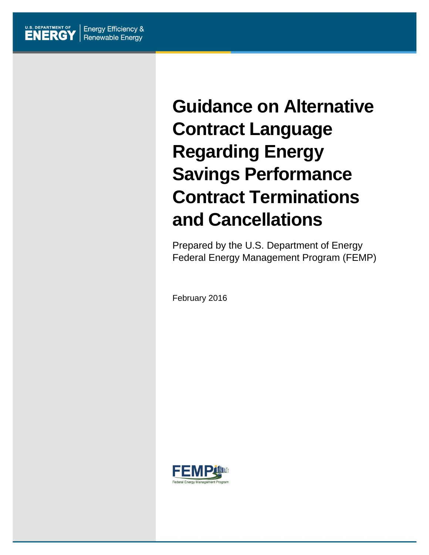# **Guidance on Alternative Contract Language Regarding Energy Savings Performance Contract Terminations and Cancellations**

Prepared by the U.S. Department of Energy Federal Energy Management Program (FEMP)

February 2016

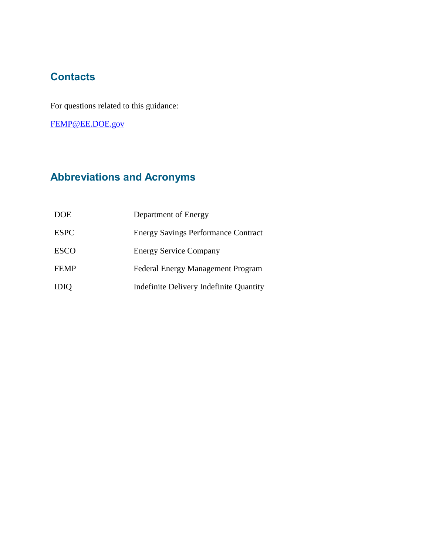## **Contacts**

For questions related to this guidance:

[FEMP@EE.DOE.gov](mailto:FEMP@EE.DOE.gov)

# **Abbreviations and Acronyms**

| <b>DOE</b>  | Department of Energy                       |
|-------------|--------------------------------------------|
| <b>ESPC</b> | <b>Energy Savings Performance Contract</b> |
| <b>ESCO</b> | <b>Energy Service Company</b>              |
| <b>FEMP</b> | <b>Federal Energy Management Program</b>   |
| <b>IDIQ</b> | Indefinite Delivery Indefinite Quantity    |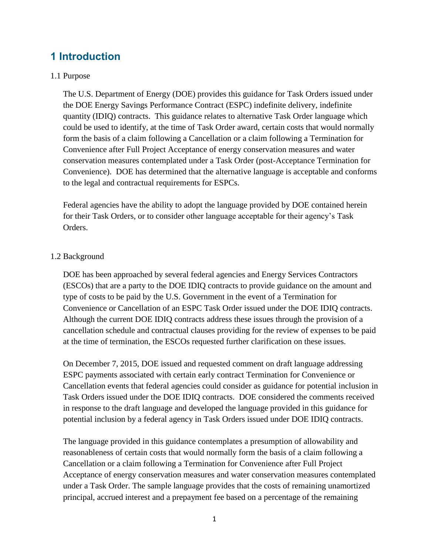## **1 Introduction**

### 1.1 Purpose

The U.S. Department of Energy (DOE) provides this guidance for Task Orders issued under the DOE Energy Savings Performance Contract (ESPC) indefinite delivery, indefinite quantity (IDIQ) contracts. This guidance relates to alternative Task Order language which could be used to identify, at the time of Task Order award, certain costs that would normally form the basis of a claim following a Cancellation or a claim following a Termination for Convenience after Full Project Acceptance of energy conservation measures and water conservation measures contemplated under a Task Order (post-Acceptance Termination for Convenience). DOE has determined that the alternative language is acceptable and conforms to the legal and contractual requirements for ESPCs.

Federal agencies have the ability to adopt the language provided by DOE contained herein for their Task Orders, or to consider other language acceptable for their agency's Task Orders.

### 1.2 Background

DOE has been approached by several federal agencies and Energy Services Contractors (ESCOs) that are a party to the DOE IDIQ contracts to provide guidance on the amount and type of costs to be paid by the U.S. Government in the event of a Termination for Convenience or Cancellation of an ESPC Task Order issued under the DOE IDIQ contracts. Although the current DOE IDIQ contracts address these issues through the provision of a cancellation schedule and contractual clauses providing for the review of expenses to be paid at the time of termination, the ESCOs requested further clarification on these issues.

On December 7, 2015, DOE issued and requested comment on draft language addressing ESPC payments associated with certain early contract Termination for Convenience or Cancellation events that federal agencies could consider as guidance for potential inclusion in Task Orders issued under the DOE IDIQ contracts. DOE considered the comments received in response to the draft language and developed the language provided in this guidance for potential inclusion by a federal agency in Task Orders issued under DOE IDIQ contracts.

The language provided in this guidance contemplates a presumption of allowability and reasonableness of certain costs that would normally form the basis of a claim following a Cancellation or a claim following a Termination for Convenience after Full Project Acceptance of energy conservation measures and water conservation measures contemplated under a Task Order. The sample language provides that the costs of remaining unamortized principal, accrued interest and a prepayment fee based on a percentage of the remaining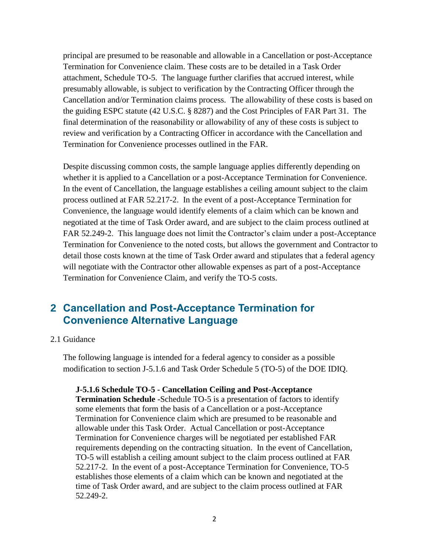principal are presumed to be reasonable and allowable in a Cancellation or post-Acceptance Termination for Convenience claim. These costs are to be detailed in a Task Order attachment, Schedule TO-5. The language further clarifies that accrued interest, while presumably allowable, is subject to verification by the Contracting Officer through the Cancellation and/or Termination claims process. The allowability of these costs is based on the guiding ESPC statute (42 U.S.C. § 8287) and the Cost Principles of FAR Part 31. The final determination of the reasonability or allowability of any of these costs is subject to review and verification by a Contracting Officer in accordance with the Cancellation and Termination for Convenience processes outlined in the FAR.

Despite discussing common costs, the sample language applies differently depending on whether it is applied to a Cancellation or a post-Acceptance Termination for Convenience. In the event of Cancellation, the language establishes a ceiling amount subject to the claim process outlined at FAR 52.217-2. In the event of a post-Acceptance Termination for Convenience, the language would identify elements of a claim which can be known and negotiated at the time of Task Order award, and are subject to the claim process outlined at FAR 52.249-2. This language does not limit the Contractor's claim under a post-Acceptance Termination for Convenience to the noted costs, but allows the government and Contractor to detail those costs known at the time of Task Order award and stipulates that a federal agency will negotiate with the Contractor other allowable expenses as part of a post-Acceptance Termination for Convenience Claim, and verify the TO-5 costs.

## **2 Cancellation and Post-Acceptance Termination for Convenience Alternative Language**

#### 2.1 Guidance

The following language is intended for a federal agency to consider as a possible modification to section J-5.1.6 and Task Order Schedule 5 (TO-5) of the DOE IDIQ.

#### **J-5.1.6 Schedule TO-5 - Cancellation Ceiling and Post-Acceptance**

**Termination Schedule -**Schedule TO-5 is a presentation of factors to identify some elements that form the basis of a Cancellation or a post-Acceptance Termination for Convenience claim which are presumed to be reasonable and allowable under this Task Order. Actual Cancellation or post-Acceptance Termination for Convenience charges will be negotiated per established FAR requirements depending on the contracting situation. In the event of Cancellation, TO-5 will establish a ceiling amount subject to the claim process outlined at FAR 52.217-2. In the event of a post-Acceptance Termination for Convenience, TO-5 establishes those elements of a claim which can be known and negotiated at the time of Task Order award, and are subject to the claim process outlined at FAR 52.249-2.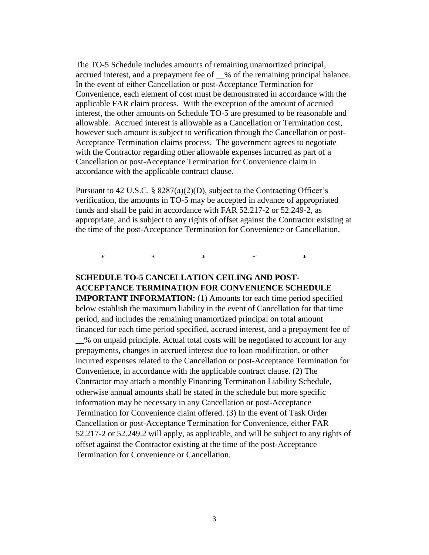The TO-5 Schedule includes amounts of remaining unamortized principal, accrued interest, and a prepayment fee of \_\_% of the remaining principal balance. In the event of either Cancellation or post-Acceptance Termination for Convenience, each element of cost must be demonstrated in accordance with the applicable FAR claim process. With the exception of the amount of accrued interest, the other amounts on Schedule TO-5 are presumed to be reasonable and allowable. Accrued interest is allowable as a Cancellation or Termination cost, however such amount is subject to verification through the Cancellation or post-Acceptance Termination claims process. The government agrees to negotiate with the Contractor regarding other allowable expenses incurred as part of a Cancellation or post-Acceptance Termination for Convenience claim in accordance with the applicable contract clause.

Pursuant to 42 U.S.C. § 8287(a)(2)(D), subject to the Contracting Officer's verification, the amounts in TO-5 may be accepted in advance of appropriated funds and shall be paid in accordance with FAR 52.217-2 or 52.249-2, as appropriate, and is subject to any rights of offset against the Contractor existing at the time of the post-Acceptance Termination for Convenience or Cancellation.

\* \* \* \* \* \* \*

## **SCHEDULE TO-5 CANCELLATION CEILING AND POST-ACCEPTANCE TERMINATION FOR CONVENIENCE SCHEDULE**

**IMPORTANT INFORMATION:** (1) Amounts for each time period specified below establish the maximum liability in the event of Cancellation for that time period, and includes the remaining unamortized principal on total amount financed for each time period specified, accrued interest, and a prepayment fee of \_\_% on unpaid principle. Actual total costs will be negotiated to account for any prepayments, changes in accrued interest due to loan modification, or other incurred expenses related to the Cancellation or post-Acceptance Termination for Convenience, in accordance with the applicable contract clause. (2) The Contractor may attach a monthly Financing Termination Liability Schedule, otherwise annual amounts shall be stated in the schedule but more specific information may be necessary in any Cancellation or post-Acceptance Termination for Convenience claim offered. (3) In the event of Task Order Cancellation or post-Acceptance Termination for Convenience, either FAR 52.217-2 or 52.249.2 will apply, as applicable, and will be subject to any rights of offset against the Contractor existing at the time of the post-Acceptance Termination for Convenience or Cancellation.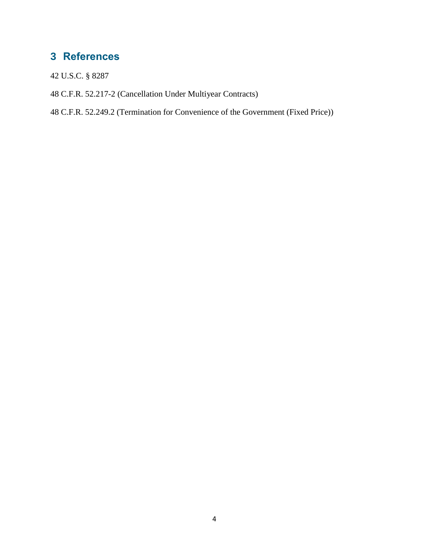# **3 References**

- 42 U.S.C. § 8287
- 48 C.F.R. 52.217-2 (Cancellation Under Multiyear Contracts)
- 48 C.F.R. 52.249.2 (Termination for Convenience of the Government (Fixed Price))